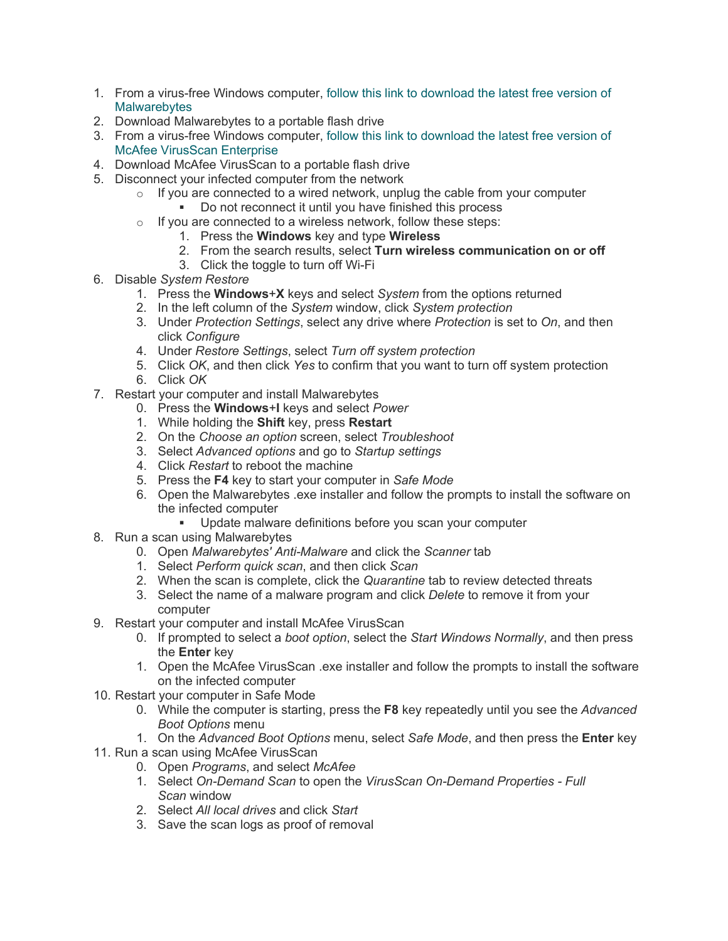- 1. From a virus-free Windows computer, [follow this link to download the latest free version of](https://www.malwarebytes.com/mwb-download/)  **Malwarebytes**
- 2. Download Malwarebytes to a portable flash drive
- 3. From a virus-free Windows computer[, follow this link to download the latest free version of](https://www.mcafee.com/us/products/virusscan-enterprise.aspx)  [McAfee VirusScan Enterprise](https://www.mcafee.com/us/products/virusscan-enterprise.aspx)
- 4. Download McAfee VirusScan to a portable flash drive
- 5. Disconnect your infected computer from the network
	- $\circ$  If you are connected to a wired network, unplug the cable from your computer
		- Do not reconnect it until you have finished this process
	- $\circ$  If you are connected to a wireless network, follow these steps:
		- 1. Press the **Windows** key and type **Wireless**
		- 2. From the search results, select **Turn wireless communication on or off**
		- 3. Click the toggle to turn off Wi-Fi
- 6. Disable *System Restore*
	- 1. Press the **Windows**+**X** keys and select *System* from the options returned
	- 2. In the left column of the *System* window, click *System protection*
	- 3. Under *Protection Settings*, select any drive where *Protection* is set to *On*, and then click *Configure*
	- 4. Under *Restore Settings*, select *Turn off system protection*
	- 5. Click *OK*, and then click *Yes* to confirm that you want to turn off system protection
	- 6. Click *OK*
- 7. Restart your computer and install Malwarebytes
	- 0. Press the **Windows**+**I** keys and select *Power*
	- 1. While holding the **Shift** key, press **Restart**
	- 2. On the *Choose an option* screen, select *Troubleshoot*
	- 3. Select *Advanced options* and go to *Startup settings*
	- 4. Click *Restart* to reboot the machine
	- 5. Press the **F4** key to start your computer in *Safe Mode*
	- 6. Open the Malwarebytes .exe installer and follow the prompts to install the software on the infected computer<br>Undate malway
		- Update malware definitions before you scan your computer
- 8. Run a scan using Malwarebytes
	- 0. Open *Malwarebytes' Anti-Malware* and click the *Scanner* tab
	- 1. Select *Perform quick scan*, and then click *Scan*
	- 2. When the scan is complete, click the *Quarantine* tab to review detected threats
	- 3. Select the name of a malware program and click *Delete* to remove it from your computer
- 9. Restart your computer and install McAfee VirusScan
	- 0. If prompted to select a *boot option*, select the *Start Windows Normally*, and then press the **Enter** key
	- 1. Open the McAfee VirusScan .exe installer and follow the prompts to install the software on the infected computer
- 10. Restart your computer in Safe Mode
	- 0. While the computer is starting, press the **F8** key repeatedly until you see the *Advanced Boot Options* menu
	- 1. On the *Advanced Boot Options* menu, select *Safe Mode*, and then press the **Enter** key
- 11. Run a scan using McAfee VirusScan
	- 0. Open *Programs*, and select *McAfee*
	- 1. Select *On-Demand Scan* to open the *VirusScan On-Demand Properties - Full Scan* window
	- 2. Select *All local drives* and click *Start*
	- 3. Save the scan logs as proof of removal